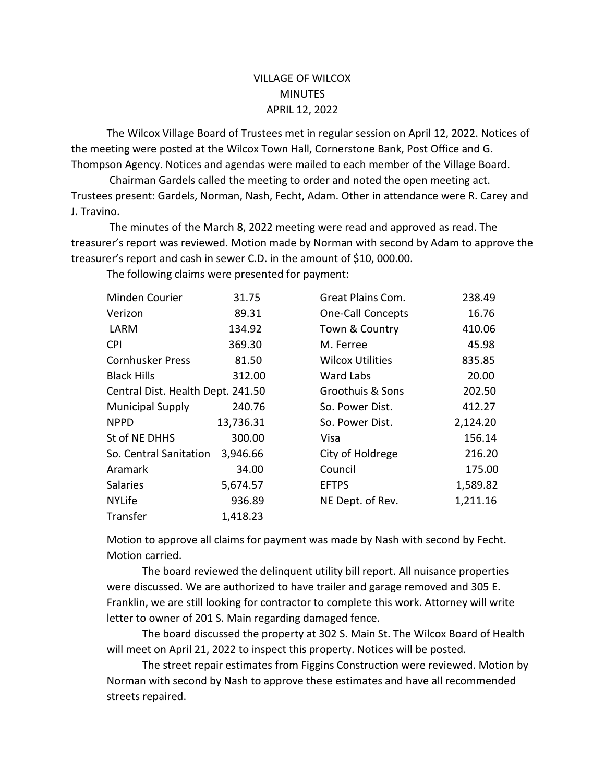## VILLAGE OF WILCOX **MINUTES** APRIL 12, 2022

The Wilcox Village Board of Trustees met in regular session on April 12, 2022. Notices of the meeting were posted at the Wilcox Town Hall, Cornerstone Bank, Post Office and G. Thompson Agency. Notices and agendas were mailed to each member of the Village Board.

Chairman Gardels called the meeting to order and noted the open meeting act. Trustees present: Gardels, Norman, Nash, Fecht, Adam. Other in attendance were R. Carey and J. Travino.

The minutes of the March 8, 2022 meeting were read and approved as read. The treasurer's report was reviewed. Motion made by Norman with second by Adam to approve the treasurer's report and cash in sewer C.D. in the amount of \$10, 000.00.

The following claims were presented for payment:

| Minden Courier                    | 31.75     | Great Plains Com.        | 238.49   |
|-----------------------------------|-----------|--------------------------|----------|
| Verizon                           | 89.31     | <b>One-Call Concepts</b> | 16.76    |
| LARM                              | 134.92    | Town & Country           | 410.06   |
| <b>CPI</b>                        | 369.30    | M. Ferree                | 45.98    |
| <b>Cornhusker Press</b>           | 81.50     | <b>Wilcox Utilities</b>  | 835.85   |
| <b>Black Hills</b>                | 312.00    | Ward Labs                | 20.00    |
| Central Dist. Health Dept. 241.50 |           | Groothuis & Sons         | 202.50   |
| <b>Municipal Supply</b>           | 240.76    | So. Power Dist.          | 412.27   |
| <b>NPPD</b>                       | 13,736.31 | So. Power Dist.          | 2,124.20 |
| St of NE DHHS                     | 300.00    | Visa                     | 156.14   |
| So. Central Sanitation            | 3,946.66  | City of Holdrege         | 216.20   |
| Aramark                           | 34.00     | Council                  | 175.00   |
| <b>Salaries</b>                   | 5,674.57  | <b>EFTPS</b>             | 1,589.82 |
| <b>NYLife</b>                     | 936.89    | NE Dept. of Rev.         | 1,211.16 |
| Transfer                          | 1,418.23  |                          |          |

Motion to approve all claims for payment was made by Nash with second by Fecht. Motion carried.

The board reviewed the delinquent utility bill report. All nuisance properties were discussed. We are authorized to have trailer and garage removed and 305 E. Franklin, we are still looking for contractor to complete this work. Attorney will write letter to owner of 201 S. Main regarding damaged fence.

The board discussed the property at 302 S. Main St. The Wilcox Board of Health will meet on April 21, 2022 to inspect this property. Notices will be posted.

The street repair estimates from Figgins Construction were reviewed. Motion by Norman with second by Nash to approve these estimates and have all recommended streets repaired.